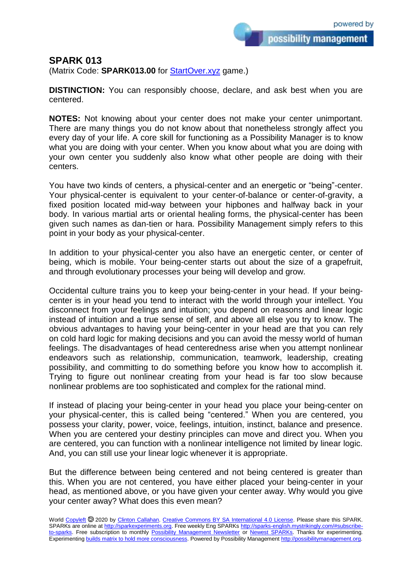possibility management

## **SPARK 013**

(Matrix Code: **SPARK013.00** for **StartOver.xyz** game.)

**DISTINCTION:** You can responsibly choose, declare, and ask best when you are centered.

**NOTES:** Not knowing about your center does not make your center unimportant. There are many things you do not know about that nonetheless strongly affect you every day of your life. A core skill for functioning as a Possibility Manager is to know what you are doing with your center. When you know about what you are doing with your own center you suddenly also know what other people are doing with their centers.

You have two kinds of centers, a physical-center and an energetic or "being"-center. Your physical-center is equivalent to your center-of-balance or center-of-gravity, a fixed position located mid-way between your hipbones and halfway back in your body. In various martial arts or oriental healing forms, the physical-center has been given such names as dan-tien or hara. Possibility Management simply refers to this point in your body as your physical-center.

In addition to your physical-center you also have an energetic center, or center of being, which is mobile. Your being-center starts out about the size of a grapefruit, and through evolutionary processes your being will develop and grow.

Occidental culture trains you to keep your being-center in your head. If your beingcenter is in your head you tend to interact with the world through your intellect. You disconnect from your feelings and intuition; you depend on reasons and linear logic instead of intuition and a true sense of self, and above all else you try to know. The obvious advantages to having your being-center in your head are that you can rely on cold hard logic for making decisions and you can avoid the messy world of human feelings. The disadvantages of head centeredness arise when you attempt nonlinear endeavors such as relationship, communication, teamwork, leadership, creating possibility, and committing to do something before you know how to accomplish it. Trying to figure out nonlinear creating from your head is far too slow because nonlinear problems are too sophisticated and complex for the rational mind.

If instead of placing your being-center in your head you place your being-center on your physical-center, this is called being "centered." When you are centered, you possess your clarity, power, voice, feelings, intuition, instinct, balance and presence. When you are centered your destiny principles can move and direct you. When you are centered, you can function with a nonlinear intelligence not limited by linear logic. And, you can still use your linear logic whenever it is appropriate.

But the difference between being centered and not being centered is greater than this. When you are not centered, you have either placed your being-center in your head, as mentioned above, or you have given your center away. Why would you give your center away? What does this even mean?

World [Copyleft](https://en.wikipedia.org/wiki/Copyleft) @ 2020 by [Clinton Callahan.](http://clintoncallahan.mystrikingly.com/) [Creative Commons BY SA International 4.0 License.](https://creativecommons.org/licenses/by-sa/4.0/) Please share this SPARK. SPARKs are online at [http://sparkexperiments.org.](http://sparks-english.mystrikingly.com/) Free weekly Eng SPARKs [http://sparks-english.mystrikingly.com/#subscribe](http://sparks-english.mystrikingly.com/#subscribe-to-sparks)[to-sparks.](http://sparks-english.mystrikingly.com/#subscribe-to-sparks) Free subscription to monthly [Possibility Management Newsletter](https://possibilitymanagement.org/news/) or [Newest SPARKs.](https://www.clintoncallahan.org/newsletter-1) Thanks for experimenting. Experimentin[g builds matrix to hold more consciousness.](http://spaceport.mystrikingly.com/) Powered by Possibility Managemen[t http://possibilitymanagement.org.](http://possibilitymanagement.org/)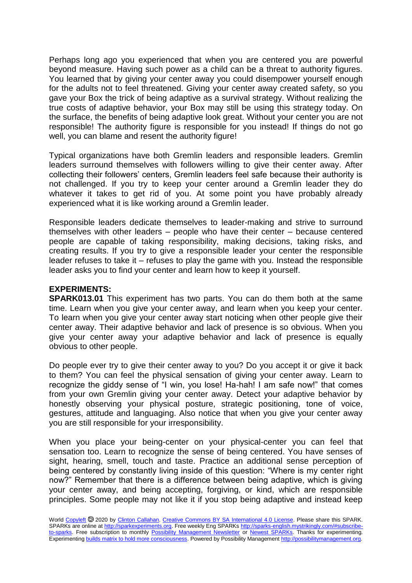Perhaps long ago you experienced that when you are centered you are powerful beyond measure. Having such power as a child can be a threat to authority figures. You learned that by giving your center away you could disempower yourself enough for the adults not to feel threatened. Giving your center away created safety, so you gave your Box the trick of being adaptive as a survival strategy. Without realizing the true costs of adaptive behavior, your Box may still be using this strategy today. On the surface, the benefits of being adaptive look great. Without your center you are not responsible! The authority figure is responsible for you instead! If things do not go well, you can blame and resent the authority figure!

Typical organizations have both Gremlin leaders and responsible leaders. Gremlin leaders surround themselves with followers willing to give their center away. After collecting their followers' centers, Gremlin leaders feel safe because their authority is not challenged. If you try to keep your center around a Gremlin leader they do whatever it takes to get rid of you. At some point you have probably already experienced what it is like working around a Gremlin leader.

Responsible leaders dedicate themselves to leader-making and strive to surround themselves with other leaders – people who have their center – because centered people are capable of taking responsibility, making decisions, taking risks, and creating results. If you try to give a responsible leader your center the responsible leader refuses to take it – refuses to play the game with you. Instead the responsible leader asks you to find your center and learn how to keep it yourself.

## **EXPERIMENTS:**

**SPARK013.01** This experiment has two parts. You can do them both at the same time. Learn when you give your center away, and learn when you keep your center. To learn when you give your center away start noticing when other people give their center away. Their adaptive behavior and lack of presence is so obvious. When you give your center away your adaptive behavior and lack of presence is equally obvious to other people.

Do people ever try to give their center away to you? Do you accept it or give it back to them? You can feel the physical sensation of giving your center away. Learn to recognize the giddy sense of "I win, you lose! Ha-hah! I am safe now!" that comes from your own Gremlin giving your center away. Detect your adaptive behavior by honestly observing your physical posture, strategic positioning, tone of voice, gestures, attitude and languaging. Also notice that when you give your center away you are still responsible for your irresponsibility.

When you place your being-center on your physical-center you can feel that sensation too. Learn to recognize the sense of being centered. You have senses of sight, hearing, smell, touch and taste. Practice an additional sense perception of being centered by constantly living inside of this question: "Where is my center right now?" Remember that there is a difference between being adaptive, which is giving your center away, and being accepting, forgiving, or kind, which are responsible principles. Some people may not like it if you stop being adaptive and instead keep